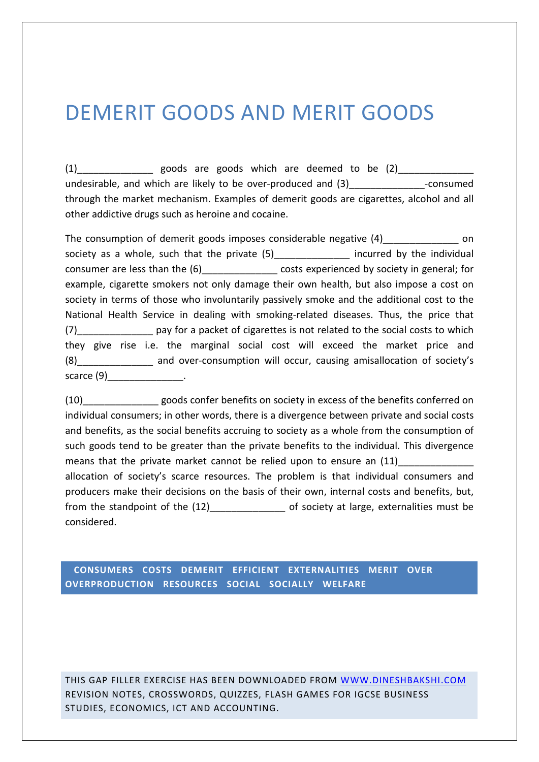## DEMERIT GOODS AND MERIT GOODS

(1) exports are goods which are deemed to be (2) undesirable, and which are likely to be over-produced and (3) example the consumed through the market mechanism. Examples of demerit goods are cigarettes, alcohol and all other addictive drugs such as heroine and cocaine.

The consumption of demerit goods imposes considerable negative (4) on society as a whole, such that the private (5) The incurred by the individual consumer are less than the (6) costs experienced by society in general; for example, cigarette smokers not only damage their own health, but also impose a cost on society in terms of those who involuntarily passively smoke and the additional cost to the National Health Service in dealing with smoking-related diseases. Thus, the price that (7) pay for a packet of cigarettes is not related to the social costs to which they give rise i.e. the marginal social cost will exceed the market price and (8) and over-consumption will occur, causing amisallocation of society's scarce  $(9)$  .

(10)\_\_\_\_\_\_\_\_\_\_\_\_\_\_ goods confer benefits on society in excess of the benefits conferred on individual consumers; in other words, there is a divergence between private and social costs and benefits, as the social benefits accruing to society as a whole from the consumption of such goods tend to be greater than the private benefits to the individual. This divergence means that the private market cannot be relied upon to ensure an  $(11)$ allocation of society's scarce resources. The problem is that individual consumers and producers make their decisions on the basis of their own, internal costs and benefits, but, from the standpoint of the (12) and the stand of society at large, externalities must be considered.

## **CONSUMERS COSTS DEMERIT EFFICIENT EXTERNALITIES MERIT OVER OVERPRODUCTION RESOURCES SOCIAL SOCIALLY WELFARE**

THIS GAP FILLER EXERCISE HAS BEEN DOWNLOADED FROM WWW.DINESHBAKSHI.COM REVISION NOTES, CROSSWORDS, QUIZZES, FLASH GAMES FOR IGCSE BUSINESS STUDIES, ECONOMICS, ICT AND ACCOUNTING.